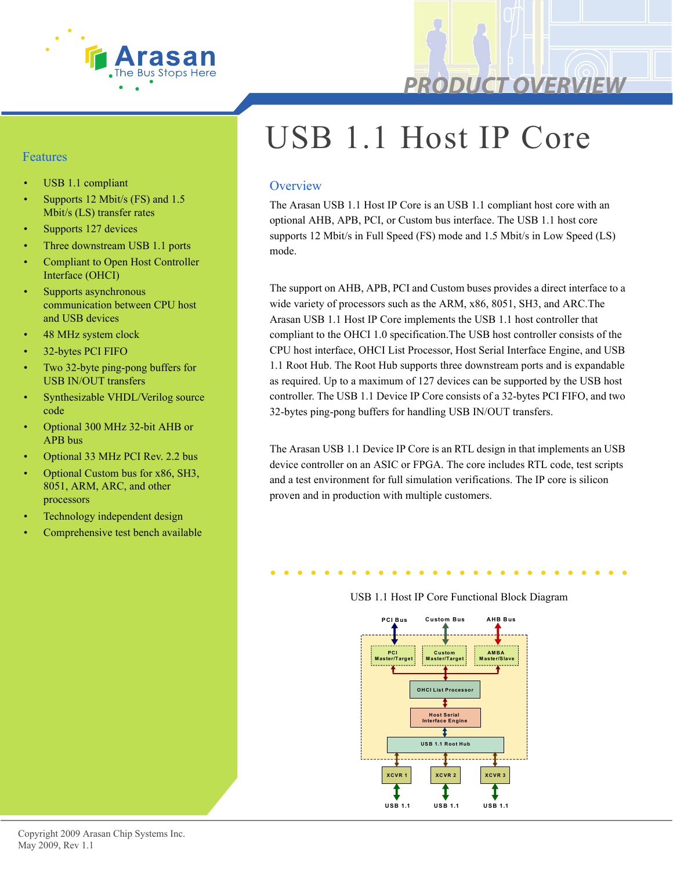

#### Features

- USB 1.1 compliant
- Supports 12 Mbit/s (FS) and 1.5 Mbit/s (LS) transfer rates
- Supports 127 devices
- Three downstream USB 1.1 ports
- Compliant to Open Host Controller Interface (OHCI)
- Supports asynchronous communication between CPU host and USB devices
- 48 MHz system clock
- 32-bytes PCI FIFO
- Two 32-byte ping-pong buffers for USB IN/OUT transfers
- Synthesizable VHDL/Verilog source code
- Optional 300 MHz 32-bit AHB or APB bus
- Optional 33 MHz PCI Rev. 2.2 bus
- Optional Custom bus for x86, SH3, 8051, ARM, ARC, and other processors
- Technology independent design
- Comprehensive test bench available

# USB 1.1 Host IP Core

#### **Overview**

The Arasan USB 1.1 Host IP Core is an USB 1.1 compliant host core with an optional AHB, APB, PCI, or Custom bus interface. The USB 1.1 host core supports 12 Mbit/s in Full Speed (FS) mode and 1.5 Mbit/s in Low Speed (LS) mode.

The support on AHB, APB, PCI and Custom buses provides a direct interface to a wide variety of processors such as the ARM, x86, 8051, SH3, and ARC.The Arasan USB 1.1 Host IP Core implements the USB 1.1 host controller that compliant to the OHCI 1.0 specification.The USB host controller consists of the CPU host interface, OHCI List Processor, Host Serial Interface Engine, and USB 1.1 Root Hub. The Root Hub supports three downstream ports and is expandable as required. Up to a maximum of 127 devices can be supported by the USB host controller. The USB 1.1 Device IP Core consists of a 32-bytes PCI FIFO, and two 32-bytes ping-pong buffers for handling USB IN/OUT transfers.

The Arasan USB 1.1 Device IP Core is an RTL design in that implements an USB device controller on an ASIC or FPGA. The core includes RTL code, test scripts and a test environment for full simulation verifications. The IP core is silicon proven and in production with multiple customers.



#### USB 1.1 Host IP Core Functional Block Diagram